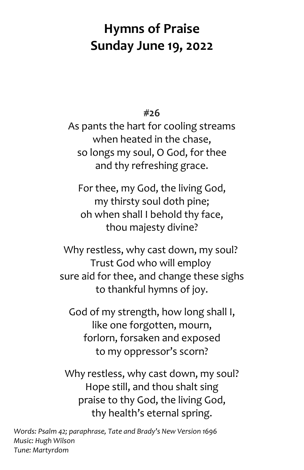## **Hymns of Praise Sunday June 19, 2022**

**#26** 

As pants the hart for cooling streams when heated in the chase, so longs my soul, O God, for thee and thy refreshing grace.

For thee, my God, the living God, my thirsty soul doth pine; oh when shall I behold thy face, thou majesty divine?

Why restless, why cast down, my soul? Trust God who will employ sure aid for thee, and change these sighs to thankful hymns of joy.

God of my strength, how long shall I, like one forgotten, mourn, forlorn, forsaken and exposed to my oppressor's scorn?

Why restless, why cast down, my soul? Hope still, and thou shalt sing praise to thy God, the living God, thy health's eternal spring.

*Words: Psalm 42; paraphrase, Tate and Brady's New Version 1696 Music: Hugh Wilson Tune: Martyrdom*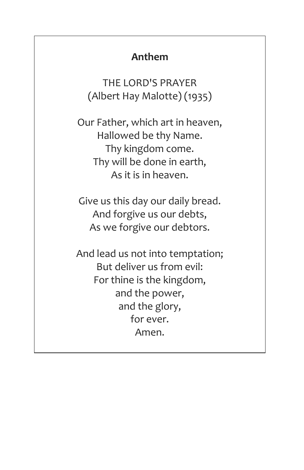## **Anthem**

THE LORD'S PRAYER (Albert Hay Malotte) (1935)

Our Father, which art in heaven, Hallowed be thy Name. Thy kingdom come. Thy will be done in earth, As it is in heaven.

Give us this day our daily bread. And forgive us our debts, As we forgive our debtors.

And lead us not into temptation; But deliver us from evil: For thine is the kingdom, and the power, and the glory, for ever. Amen.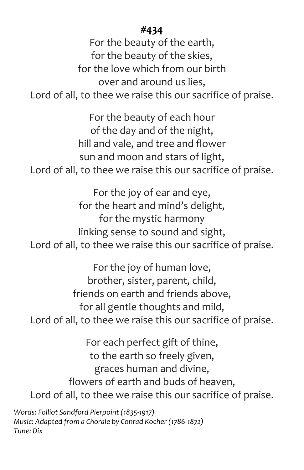## **#434**

For the beauty of the earth, for the beauty of the skies, for the love which from our birth over and around us lies, Lord of all, to thee we raise this our sacrifice of praise.

For the beauty of each hour of the day and of the night, hill and vale, and tree and flower sun and moon and stars of light, Lord of all, to thee we raise this our sacrifice of praise.

For the joy of ear and eye, for the heart and mind's delight, for the mystic harmony linking sense to sound and sight, Lord of all, to thee we raise this our sacrifice of praise.

For the joy of human love, brother, sister, parent, child, friends on earth and friends above, for all gentle thoughts and mild, Lord of all, to thee we raise this our sacrifice of praise.

For each perfect gift of thine, to the earth so freely given, graces human and divine, flowers of earth and buds of heaven, Lord of all, to thee we raise this our sacrifice of praise.

*Words: Folliot Sandford Pierpoint (1835-1917) Music: Adapted from a Chorale by Conrad Kocher (1786-1872) Tune: Dix*